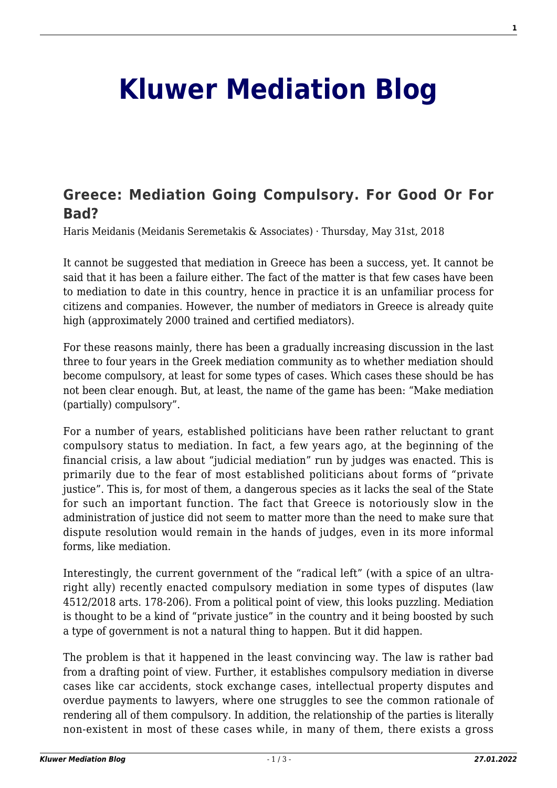## **[Kluwer Mediation Blog](http://mediationblog.kluwerarbitration.com/)**

## **[Greece: Mediation Going Compulsory. For Good Or For](http://mediationblog.kluwerarbitration.com/2018/05/31/greece-mediation-going-compulsory-good-bad/) [Bad?](http://mediationblog.kluwerarbitration.com/2018/05/31/greece-mediation-going-compulsory-good-bad/)**

Haris Meidanis (Meidanis Seremetakis & Associates) · Thursday, May 31st, 2018

It cannot be suggested that mediation in Greece has been a success, yet. It cannot be said that it has been a failure either. The fact of the matter is that few cases have been to mediation to date in this country, hence in practice it is an unfamiliar process for citizens and companies. However, the number of mediators in Greece is already quite high (approximately 2000 trained and certified mediators).

For these reasons mainly, there has been a gradually increasing discussion in the last three to four years in the Greek mediation community as to whether mediation should become compulsory, at least for some types of cases. Which cases these should be has not been clear enough. But, at least, the name of the game has been: "Make mediation (partially) compulsory".

For a number of years, established politicians have been rather reluctant to grant compulsory status to mediation. In fact, a few years ago, at the beginning of the financial crisis, a law about "judicial mediation" run by judges was enacted. This is primarily due to the fear of most established politicians about forms of "private justice". This is, for most of them, a dangerous species as it lacks the seal of the State for such an important function. The fact that Greece is notoriously slow in the administration of justice did not seem to matter more than the need to make sure that dispute resolution would remain in the hands of judges, even in its more informal forms, like mediation.

Interestingly, the current government of the "radical left" (with a spice of an ultraright ally) recently enacted compulsory mediation in some types of disputes (law 4512/2018 arts. 178-206). From a political point of view, this looks puzzling. Mediation is thought to be a kind of "private justice" in the country and it being boosted by such a type of government is not a natural thing to happen. But it did happen.

The problem is that it happened in the least convincing way. The law is rather bad from a drafting point of view. Further, it establishes compulsory mediation in diverse cases like car accidents, stock exchange cases, intellectual property disputes and overdue payments to lawyers, where one struggles to see the common rationale of rendering all of them compulsory. In addition, the relationship of the parties is literally non-existent in most of these cases while, in many of them, there exists a gross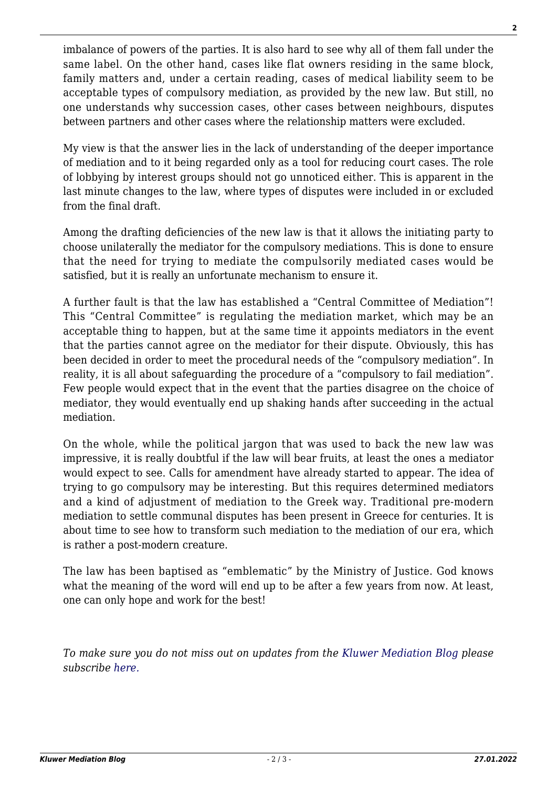imbalance of powers of the parties. It is also hard to see why all of them fall under the same label. On the other hand, cases like flat owners residing in the same block, family matters and, under a certain reading, cases of medical liability seem to be acceptable types of compulsory mediation, as provided by the new law. But still, no one understands why succession cases, other cases between neighbours, disputes between partners and other cases where the relationship matters were excluded.

My view is that the answer lies in the lack of understanding of the deeper importance of mediation and to it being regarded only as a tool for reducing court cases. The role of lobbying by interest groups should not go unnoticed either. This is apparent in the last minute changes to the law, where types of disputes were included in or excluded from the final draft.

Among the drafting deficiencies of the new law is that it allows the initiating party to choose unilaterally the mediator for the compulsory mediations. This is done to ensure that the need for trying to mediate the compulsorily mediated cases would be satisfied, but it is really an unfortunate mechanism to ensure it.

A further fault is that the law has established a "Central Committee of Mediation"! This "Central Committee" is regulating the mediation market, which may be an acceptable thing to happen, but at the same time it appoints mediators in the event that the parties cannot agree on the mediator for their dispute. Obviously, this has been decided in order to meet the procedural needs of the "compulsory mediation". In reality, it is all about safeguarding the procedure of a "compulsory to fail mediation". Few people would expect that in the event that the parties disagree on the choice of mediator, they would eventually end up shaking hands after succeeding in the actual mediation.

On the whole, while the political jargon that was used to back the new law was impressive, it is really doubtful if the law will bear fruits, at least the ones a mediator would expect to see. Calls for amendment have already started to appear. The idea of trying to go compulsory may be interesting. But this requires determined mediators and a kind of adjustment of mediation to the Greek way. Traditional pre-modern mediation to settle communal disputes has been present in Greece for centuries. It is about time to see how to transform such mediation to the mediation of our era, which is rather a post-modern creature.

The law has been baptised as "emblematic" by the Ministry of Justice. God knows what the meaning of the word will end up to be after a few years from now. At least, one can only hope and work for the best!

*To make sure you do not miss out on updates from the [Kluwer Mediation Blog](http://mediationblog.kluwerarbitration.com) please subscrib[e here.](http://mediationblog.kluwerarbitration.com/newsletter/?email=&mailing_list_widget_submit=Subscribe)*